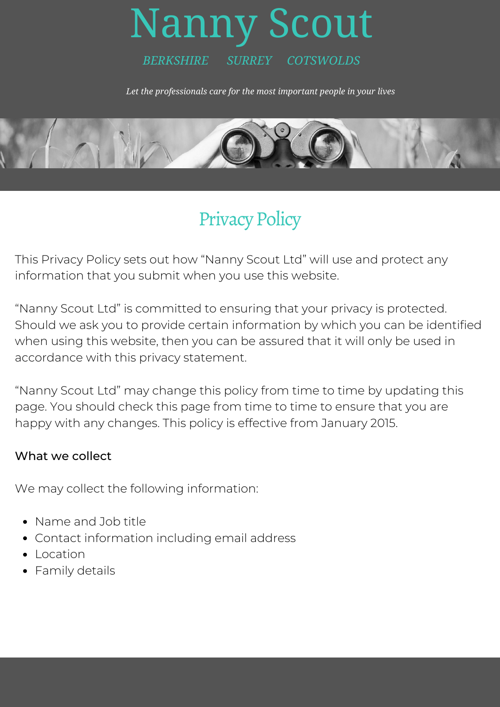# Nanny Scout *BERKSHIRE SURREY COTSWOLDS*

*Let the professionals care for the most important people in your lives*



# **Privacy Policy**

This Privacy Policy sets out how "Nanny Scout Ltd" will use and protect any information that you submit when you use this website.

"Nanny Scout Ltd" is committed to ensuring that your privacy is protected. Should we ask you to provide certain information by which you can be identified when using this website, then you can be assured that it will only be used in accordance with this privacy statement.

"Nanny Scout Ltd" may change this policy from time to time by updating this page. You should check this page from time to time to ensure that you are happy with any changes. This policy is effective from January 2015.

#### What we collect

We may collect the following information:

- Name and Job title
- Contact information including email address
- Location
- Family details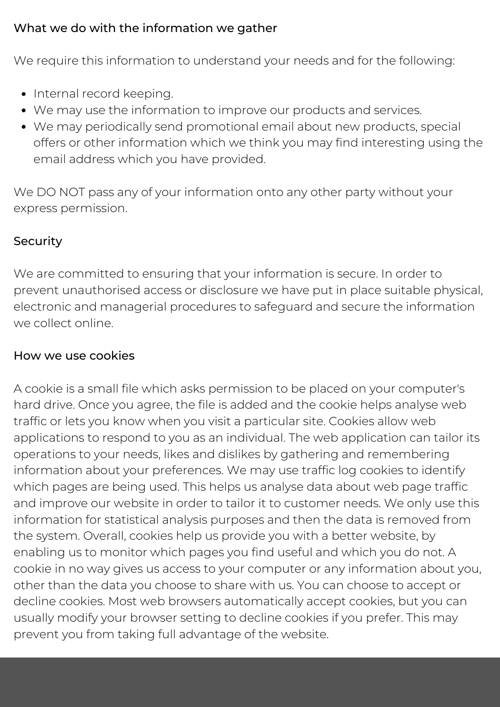# What we do with the information we gather

We require this information to understand your needs and for the following:

- **•** Internal record keeping.
- We may use the information to improve our products and services.
- We may periodically send promotional email about new products, special offers or other information which we think you may find interesting using the email address which you have provided.

We DO NOT pass any of your information onto any other party without your express permission.

## **Security**

We are committed to ensuring that your information is secure. In order to prevent unauthorised access or disclosure we have put in place suitable physical, electronic and managerial procedures to safeguard and secure the information we collect online.

#### How we use cookies

A cookie is a small file which asks permission to be placed on your computer's hard drive. Once you agree, the file is added and the cookie helps analyse web traffic or lets you know when you visit a particular site. Cookies allow web applications to respond to you as an individual. The web application can tailor its operations to your needs, likes and dislikes by gathering and remembering information about your preferences. We may use traffic log cookies to identify which pages are being used. This helps us analyse data about web page traffic and improve our website in order to tailor it to customer needs. We only use this information for statistical analysis purposes and then the data is removed from the system. Overall, cookies help us provide you with a better website, by enabling us to monitor which pages you find useful and which you do not. A cookie in no way gives us access to your computer or any information about you, other than the data you choose to share with us. You can choose to accept or decline cookies. Most web browsers automatically accept cookies, but you can usually modify your browser setting to decline cookies if you prefer. This may prevent you from taking full advantage of the website.